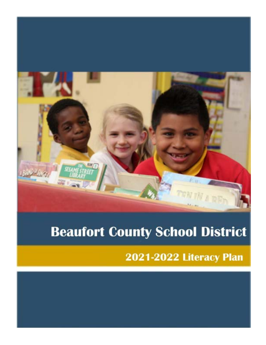

# **Beaufort County School District**

2021-2022 Literacy Plan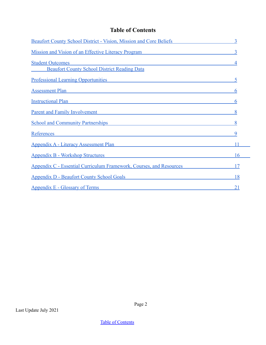<span id="page-1-0"></span>

| <b>Beaufort County School District - Vision, Mission and Core Beliefs</b>                                                                                                                                                          |           |
|------------------------------------------------------------------------------------------------------------------------------------------------------------------------------------------------------------------------------------|-----------|
| Mission and Vision of an Effective Literacy Program                                                                                                                                                                                |           |
| <b>Student Outcomes</b><br><b>Beaufort County School District Reading Data</b>                                                                                                                                                     |           |
| <b>Professional Learning Opportunities</b>                                                                                                                                                                                         |           |
| Assessment Plan                                                                                                                                                                                                                    | 6         |
| <u>Instructional Plan and the contractional contractional planets</u>                                                                                                                                                              | 6         |
| <b>Parent and Family Involvement Exercise 2.2 Second 2.2 Second 2.3 Second 2.3 Second 2.3 Second 2.3 Second 2.3 Second 2.4 Second 2.4 Second 2.4 Second 2.4 Second 2.4 Second 2.4 Second 2.4 Second 2.4 Second 2.4 Second 2.4 </b> |           |
| <b>School and Community Partnerships</b>                                                                                                                                                                                           |           |
| References<br><u> 1980 - Jan Sterling von Berger (* 1900)</u>                                                                                                                                                                      |           |
| Appendix A - Literacy Assessment Plan                                                                                                                                                                                              |           |
| <u> Appendix B - Workshop Structures</u>                                                                                                                                                                                           | 16        |
| <b>Appendix C - Essential Curriculum Framework, Courses, and Resources</b>                                                                                                                                                         | 17        |
| <b>Appendix D - Beaufort County School Goals</b>                                                                                                                                                                                   | 18        |
| <b>Appendix E - Glossary of Terms</b>                                                                                                                                                                                              | <u>21</u> |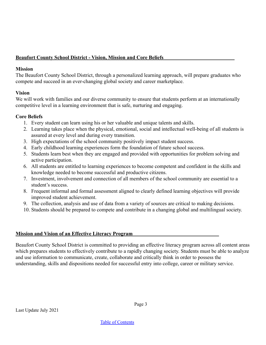#### <span id="page-2-0"></span>**Beaufort County School District - Vision, Mission and Core Beliefs**

#### **Mission**

The Beaufort County School District, through a personalized learning approach, will prepare graduates who compete and succeed in an ever-changing global society and career marketplace.

#### **Vision**

We will work with families and our diverse community to ensure that students perform at an internationally competitive level in a learning environment that is safe, nurturing and engaging.

#### **Core Beliefs**

- 1. Every student can learn using his or her valuable and unique talents and skills.
- 2. Learning takes place when the physical, emotional, social and intellectual well-being of all students is assured at every level and during every transition.
- 3. High expectations of the school community positively impact student success.
- 4. Early childhood learning experiences form the foundation of future school success.
- 5. Students learn best when they are engaged and provided with opportunities for problem solving and active participation.
- 6. All students are entitled to learning experiences to become competent and confident in the skills and knowledge needed to become successful and productive citizens.
- 7. Investment, involvement and connection of all members of the school community are essential to a student's success.
- 8. Frequent informal and formal assessment aligned to clearly defined learning objectives will provide improved student achievement.
- 9. The collection, analysis and use of data from a variety of sources are critical to making decisions.
- 10. Students should be prepared to compete and contribute in a changing global and multilingual society.

#### <span id="page-2-1"></span>**Mission and Vision of an Effective Literacy Program**

Beaufort County School District is committed to providing an effective literacy program across all content areas which prepares students to effectively contribute to a rapidly changing society. Students must be able to analyze and use information to communicate, create, collaborate and critically think in order to possess the understanding, skills and dispositions needed for successful entry into college, career or military service.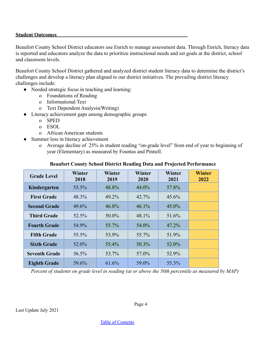#### <span id="page-3-0"></span>**Student Outcomes**

Beaufort County School District educators use Enrich to manage assessment data. Through Enrich, literacy data is reported and educators analyze the data to prioritize instructional needs and set goals at the district, school and classroom levels.

Beaufort County School District gathered and analyzed district student literacy data to determine the district's challenges and develop a literacy plan aligned to our district initiatives. The prevailing district literacy challenges include:

- Needed strategic focus in teaching and learning:
	- o Foundations of Reading
	- o Informational Text
	- o Text Dependent Analysis(Writing)
- Literacy achievement gaps among demographic groups
	- o SPED
	- o ESOL
	- o African American students
	- Summer loss in literacy achievement
		- o Average decline of 25% in student reading "on-grade level" from end of year to beginning of year (Elementary) as measured by Fountas and Pinnell.

| <b>Grade Level</b>   | Winter<br>2018 | Winter<br>2019 | <b>Winter</b><br>2020 | <b>Winter</b><br>2021 | <b>Winter</b><br>2022 |
|----------------------|----------------|----------------|-----------------------|-----------------------|-----------------------|
| Kindergarten         | 55.5%          | 48.8%          | 44.0%                 | 57.8%                 |                       |
| <b>First Grade</b>   | 48.3%          | 49.2%          | 42.7%                 | 45.6%                 |                       |
| <b>Second Grade</b>  | 49.6%          | 46.8%          | 46.1%                 | 45.0%                 |                       |
| <b>Third Grade</b>   | 52.5%          | 50.0%          | 48.1%                 | 51.6%                 |                       |
| <b>Fourth Grade</b>  | 54.9%          | 55.7%          | 54.0%                 | 47.2%                 |                       |
| <b>Fifth Grade</b>   | 55.5%          | 53.9%          | 55.7%                 | 51.9%                 |                       |
| <b>Sixth Grade</b>   | 52.0%          | 55.4%          | 50.3%                 | 52.0%                 |                       |
| <b>Seventh Grade</b> | 56.5%          | 53.7%          | 57.0%                 | 52.9%                 |                       |
| <b>Eighth Grade</b>  | 59.6%          | 61.6%          | 59.0%                 | 55.3%                 |                       |

#### **Beaufort County School District Reading Data and Projected Performance**

*Percent of students on grade level in reading (at or above the 50th percentile as measured by MAP)*

Last Update July 2021

Page 4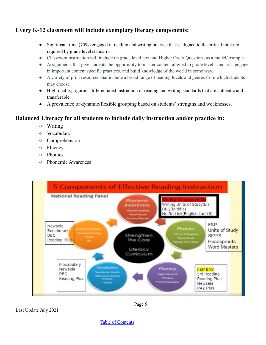# **Every K-12 classroom will include exemplary literacy components:**

- Significant time (75%) engaged in reading and writing practice that is aligned to the critical thinking required by grade level standards
- Classroom instruction will include on grade level text and Higher Order Questions as a model/example.
- Assignments that give students the opportunity to master content aligned to grade level standards, engage in important content specific practices, and build knowledge of the world in some way.
- A variety of print resources that include a broad range of reading levels and genres from which students may choose.
- High-quality, rigorous differentiated instruction of reading and writing standards that are authentic and transferable.
- A prevalence of dynamic/flexible grouping based on students' strengths and weaknesses.

# **Balanced Literacy for all students to include daily instruction and/or practice in:**

- Writing
- Vocabulary
- Comprehension
- Fluency
- Phonics
- Phonemic Awareness



Last Update July 2021

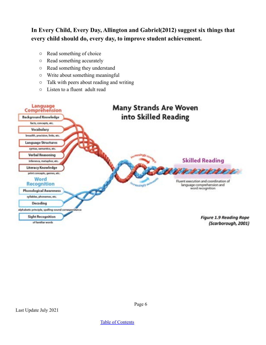# **In Every Child, Every Day, Allington and Gabriel(2012) suggest six things that every child should do, every day, to improve student achievement.**

- Read something of choice
- Read something accurately
- Read something they understand
- Write about something meaningful
- Talk with peers about reading and writing
- Listen to a fluent adult read



Page 6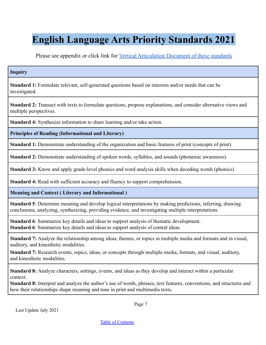# **English Language Arts Priority Standards 2021**

Please see appendix or click link for [Vertical Articulation Document of these standards](https://drive.google.com/file/d/1KGkWiUiNt2X58vCnB14898Oj6AZFd7V7/view?usp=sharing)

#### **Inquiry**

**Standard 1:** Formulate relevant, self-generated questions based on interests and/or needs that can be investigated.

**Standard 2:** Transact with texts to formulate questions, propose explanations, and consider alternative views and multiple perspectives.

**Standard 4:** Synthesize information to share learning and/or take action.

**Principles of Reading (Informational and Literary)**

**Standard 1:** Demonstrate understanding of the organization and basic features of print (concepts of print).

**Standard 2:** Demonstrate understanding of spoken words, syllables, and sounds (phonemic awareness).

**Standard 3:** Know and apply grade-level phonics and word analysis skills when decoding words (phonics).

**Standard 4:** Read with sufficient accuracy and fluency to support comprehension.

**Meaning and Context ( Literary and Informational )**

**Standard 5**: Determine meaning and develop logical interpretations by making predictions, inferring, drawing conclusions, analyzing, synthesizing, providing evidence, and investigating multiple interpretations.

**Standard 6**: Summarize key details and ideas to support analysis of thematic development. **Standard 6**: Summarize key details and ideas to support analysis of central ideas.

**Standard 7:** Analyze the relationship among ideas, themes, or topics in multiple media and formats and in visual, auditory, and kinesthetic modalities.

**Standard 7:** Research events, topics, ideas, or concepts through multiple media, formats, and visual, auditory, and kinesthetic modalities.

**Standard 8:** Analyze characters, settings, events, and ideas as they develop and interact within a particular context.

**Standard 8:** Interpret and analyze the author's use of words, phrases, text features, conventions, and structures and how their relationships shape meaning and tone in print and multimedia texts.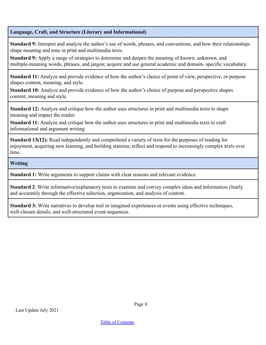#### **Language, Craft, and Structure (Literary and Informational)**

**Standard 9:** Interpret and analyze the author's use of words, phrases, and conventions, and how their relationships shape meaning and tone in print and multimedia texts.

**Standard 9:** Apply a range of strategies to determine and deepen the meaning of known, unknown, and multiple-meaning words, phrases, and jargon; acquire and use general academic and domain- specific vocabulary.

**Standard 11:** Analyze and provide evidence of how the author's choice of point of view, perspective, or purpose shapes content, meaning, and style.

**Standard 10:** Analyze and provide evidence of how the author's choice of purpose and perspective shapes content, meaning and style.

**Standard 12:** Analyze and critique how the author uses structures in print and multimedia texts to shape meaning and impact the reader.

**Standard 11:** Analyze and critique how the author uses structures in print and multimedia texts to craft informational and argument writing.

**Standard 13(12):** Read independently and comprehend a variety of texts for the purposes of reading for enjoyment, acquiring new learning, and building stamina; reflect and respond to increasingly complex texts over time.

#### **Writing**

**Standard 1:** Write arguments to support claims with clear reasons and relevant evidence.

**Standard 2**: Write informative/explanatory texts to examine and convey complex ideas and information clearly and accurately through the effective selection, organization, and analysis of content.

**Standard 3:** Write narratives to develop real or imagined experiences or events using effective techniques, well-chosen details, and well-structured event sequences.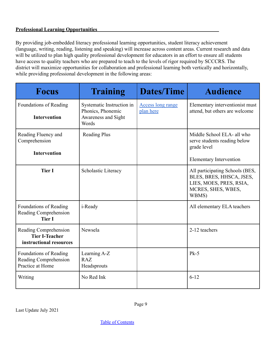#### <span id="page-8-0"></span>**Professional Learning Opportunities**

By providing job-embedded literacy professional learning opportunities, student literacy achievement (language, writing, reading, listening and speaking) will increase across content areas. Current research and data will be utilized to plan high quality professional development for educators in an effort to ensure all students have access to quality teachers who are prepared to teach to the levels of rigor required by SCCCRS. The district will maximize opportunities for collaboration and professional learning both vertically and horizontally, while providing professional development in the following areas:

| <b>Focus</b>                                                              | <b>Training</b>                                                                | Dates/Time                            | <b>Audience</b>                                                                                                       |
|---------------------------------------------------------------------------|--------------------------------------------------------------------------------|---------------------------------------|-----------------------------------------------------------------------------------------------------------------------|
| Foundations of Reading<br><b>Intervention</b>                             | Systematic Instruction in<br>Phonics, Phonemic<br>Awareness and Sight<br>Words | <b>Access long range</b><br>plan here | Elementary interventionist must<br>attend, but others are welcome                                                     |
| Reading Fluency and<br>Comprehension<br><b>Intervention</b>               | <b>Reading Plus</b>                                                            |                                       | Middle School ELA- all who<br>serve students reading below<br>grade level<br><b>Elementary Intervention</b>           |
| <b>Tier I</b>                                                             | Scholastic Literacy                                                            |                                       | All participating Schools (BES,<br>BLES, BRES, HHSCA, JSES,<br>LIES, MOES, PRES, RSIA,<br>MCRES, SHES, WBES,<br>WBMS) |
| Foundations of Reading<br>Reading Comprehension<br><b>Tier I</b>          | i-Ready                                                                        |                                       | All elementary ELA teachers                                                                                           |
| Reading Comprehension<br><b>Tier I-Teacher</b><br>instructional resources | Newsela                                                                        |                                       | 2-12 teachers                                                                                                         |
| Foundations of Reading<br>Reading Comprehension<br>Practice at Home       | Learning A-Z<br><b>RAZ</b><br>Headsprouts                                      |                                       | $Pk-5$                                                                                                                |
| Writing                                                                   | No Red Ink                                                                     |                                       | $6 - 12$                                                                                                              |

Last Update July 2021

Page 9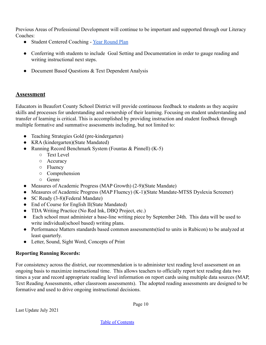Previous Areas of Professional Development will continue to be important and supported through our Literacy Coaches:

- Student Centered Coaching [Year Round Plan](https://docs.google.com/document/d/1YtOhFN_s3lC96Rbi1Ct24EopexcjMLB5CPv3h7KQcY4/edit?usp=sharing)
- Conferring with students to include Goal Setting and Documentation in order to gauge reading and writing instructional next steps.
- Document Based Ouestions & Text Dependent Analysis

## <span id="page-9-0"></span>**Assessment**

Educators in Beaufort County School District will provide continuous feedback to students as they acquire skills and processes for understanding and ownership of their learning. Focusing on student understanding and transfer of learning is critical. This is accomplished by providing instruction and student feedback through multiple formative and summative assessments including, but not limited to:

- Teaching Strategies Gold (pre-kindergarten)
- KRA (kindergarten)(State Mandated)
- Running Record Benchmark System (Fountas & Pinnell) (K-5)
	- Text Level
	- Accuracy
	- Fluency
	- Comprehension
	- Genre
- Measures of Academic Progress (MAP Growth) (2-9)(State Mandate)
- Measures of Academic Progress (MAP Fluency) (K-1)(State Mandate-MTSS Dyslexia Screener)
- SC Ready (3-8)(Federal Mandate)
- End of Course for English II(State Mandated)
- TDA Writing Practice (No Red Ink, DBQ Project, etc.)
- Each school must administer a base-line writing piece by September 24th. This data will be used to write individual(school based) writing plans.
- Performance Matters standards based common assessments(tied to units in Rubicon) to be analyzed at least quarterly.
- Letter, Sound, Sight Word, Concepts of Print

#### **Reporting Running Records:**

For consistency across the district, our recommendation is to administer text reading level assessment on an ongoing basis to maximize instructional time. This allows teachers to officially report text reading data two times a year and record appropriate reading level information on report cards using multiple data sources (MAP, Text Reading Assessments, other classroom assessments). The adopted reading assessments are designed to be formative and used to drive ongoing instructional decisions.

Page 10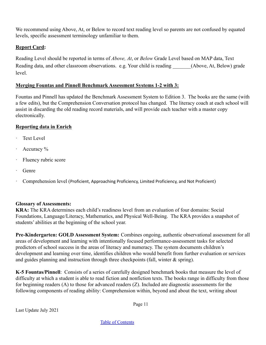We recommend using Above, At, or Below to record text reading level so parents are not confused by equated levels, specific assessment terminology unfamiliar to them.

#### **Report Card:**

Reading Level should be reported in terms of *Above, At*, or *Below* Grade Level based on MAP data, Text Reading data, and other classroom observations. e.g. Your child is reading (Above, At, Below) grade level.

#### **Merging Fountas and Pinnell Benchmark Assessment Systems 1-2 with 3:**

Fountas and Pinnell has updated the Benchmark Assessment System to Edition 3. The books are the same (with a few edits), but the Comprehension Conversation protocol has changed. The literacy coach at each school will assist in discarding the old reading record materials, and will provide each teacher with a master copy electronically.

#### **Reporting data in Enrich**

- Text Level
- Accuracy %
- Fluency rubric score
- · Genre
- · Comprehension level (Proficient, Approaching Proficiency, Limited Proficiency, and Not Proficient)

#### **Glossary of Assessments:**

**KRA:** The KRA determines each child's readiness level from an evaluation of four domains: Social Foundations, Language/Literacy, Mathematics, and Physical Well-Being. The KRA provides a snapshot of students' abilities at the beginning of the school year.

**Pre-Kindergarten: GOLD Assessment System:** Combines ongoing, authentic observational assessment for all areas of development and learning with intentionally focused performance-assessment tasks for selected predictors of school success in the areas of literacy and numeracy. The system documents children's development and learning over time, identifies children who would benefit from further evaluation or services and guides planning and instruction through three checkpoints (fall, winter  $\&$  spring).

**K-5 Fountas/Pinnell**: Consists of a series of carefully designed benchmark books that measure the level of difficulty at which a student is able to read fiction and nonfiction texts. The books range in difficulty from those for beginning readers (A) to those for advanced readers (Z). Included are diagnostic assessments for the following components of reading ability: Comprehension within, beyond and about the text, writing about

Page 11

Last Update July 2021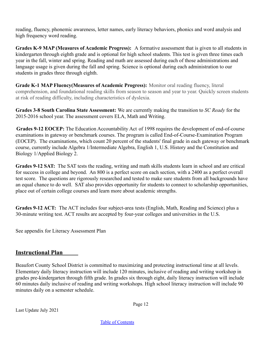reading, fluency, phonemic awareness, letter names, early literacy behaviors, phonics and word analysis and high frequency word reading.

**Grades K-9 MAP (Measures of Academic Progress):** A formative assessment that is given to all students in kindergarten through eighth grade and is optional for high school students. This test is given three times each year in the fall, winter and spring. Reading and math are assessed during each of those administrations and language usage is given during the fall and spring. Science is optional during each administration to our students in grades three through eighth.

**Grade K-1 MAP Fluency(Measures of Academic Progress):** Monitor oral reading fluency, literal comprehension, and foundational reading skills from season to season and year to year. Quickly screen students at risk of reading difficulty, including characteristics of dyslexia.

**Grades 3-8 South Carolina State Assessment:** We are currently making the transition to *SC Ready* for the 2015-2016 school year. The assessment covers ELA, Math and Writing.

**Grades 9-12 EOCEP:** The Education Accountability Act of 1998 requires the development of end-of-course examinations in gateway or benchmark courses. The program is called End-of-Course-Examination Program (EOCEP). The examinations, which count 20 percent of the students' final grade in each gateway or benchmark course, currently include Algebra 1/Intermediate Algebra, English 1, U.S. History and the Constitution and Biology 1/Applied Biology 2.

**Grades 9-12 SAT:** The SAT tests the reading, writing and math skills students learn in school and are critical for success in college and beyond. An 800 is a perfect score on each section, with a 2400 as a perfect overall test score. The questions are rigorously researched and tested to make sure students from all backgrounds have an equal chance to do well. SAT also provides opportunity for students to connect to scholarship opportunities, place out of certain college courses and learn more about academic strengths.

**Grades 9-12 ACT:** The ACT includes four subject-area tests (English, Math, Reading and Science) plus a 30-minute writing test. ACT results are accepted by four-year colleges and universities in the U.S.

See appendix for Literacy Assessment Plan

## <span id="page-11-0"></span>**Instructional Plan**

Beaufort County School District is committed to maximizing and protecting instructional time at all levels. Elementary daily literacy instruction will include 120 minutes, inclusive of reading and writing workshop in grades pre-kindergarten through fifth grade. In grades six through eight, daily literacy instruction will include 60 minutes daily inclusive of reading and writing workshops. High school literacy instruction will include 90 minutes daily on a semester schedule.

Page 12

Last Update July 2021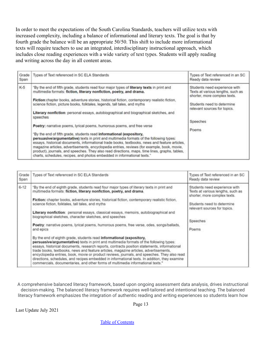In order to meet the expectations of the South Carolina Standards, teachers will utilize texts with increased complexity, including a balance of informational and literary texts. The goal is that by fourth grade the balance will be an appropriate 50/50. This shift to include more informational texts will require teachers to use an integrated, interdisciplinary instructional approach, which includes close reading experiences with a wide variety of text types. Students will apply reading and writing across the day in all content areas.

| Grade<br>Span | Types of Text referenced in SC ELA Standards                                                                                                                                                                                                                                                                                                                                                                                                                                                                                                                                                                                                                                                                                                                                                                                                                                                                                                                                                                                                                                    | Types of Text referenced in an SC<br>Ready data review                                                                                                                                |
|---------------|---------------------------------------------------------------------------------------------------------------------------------------------------------------------------------------------------------------------------------------------------------------------------------------------------------------------------------------------------------------------------------------------------------------------------------------------------------------------------------------------------------------------------------------------------------------------------------------------------------------------------------------------------------------------------------------------------------------------------------------------------------------------------------------------------------------------------------------------------------------------------------------------------------------------------------------------------------------------------------------------------------------------------------------------------------------------------------|---------------------------------------------------------------------------------------------------------------------------------------------------------------------------------------|
| $K-5$         | By the end of fifth grade, students read four major types of literary texts in print and<br>multimedia formats: fiction, literary nonfiction, poetry, and drama.<br>Fiction:chapter books, adventure stories, historical fiction, contemporary realistic fiction,<br>science fiction, picture books, folktales, legends, tall tales, and myths<br>Literary nonfiction: personal essays, autobiographical and biographical sketches, and<br>speeches<br>Poetry: narrative poems, lyrical poems, humorous poems, and free verse<br>"By the end of fifth grade, students read informational (expository,<br>persuasive/argumentative) texts in print and multimedia formats of the following types:<br>essays, historical documents, informational trade books, textbooks, news and feature articles,<br>magazine articles, advertisements, encyclopedia entries, reviews (for example, book, movie,<br>product), journals, and speeches. They also read directions, maps, time lines, graphs, tables,<br>charts, schedules, recipes, and photos embedded in informational texts." | Students need experience with<br>Texts at various lengths, such as<br>shorter, more complex texts.<br>Students need to determine<br>relevant sources for topics.<br>Speeches<br>Poems |

| Grade<br>Span | Types of Text referenced in SC ELA Standards                                                                                                                                                                                                                                                                                                                                                                                                                                                                                                                                                                                                                                                                                                                                                                                                                                                                                                                                                                                                                                                                                                                                                                                           | Types of Text referenced in an SC<br>Ready data review                                                                                                                                |
|---------------|----------------------------------------------------------------------------------------------------------------------------------------------------------------------------------------------------------------------------------------------------------------------------------------------------------------------------------------------------------------------------------------------------------------------------------------------------------------------------------------------------------------------------------------------------------------------------------------------------------------------------------------------------------------------------------------------------------------------------------------------------------------------------------------------------------------------------------------------------------------------------------------------------------------------------------------------------------------------------------------------------------------------------------------------------------------------------------------------------------------------------------------------------------------------------------------------------------------------------------------|---------------------------------------------------------------------------------------------------------------------------------------------------------------------------------------|
| $6 - 12$      | "By the end of eighth grade, students read four major types of literary texts in print and<br>multimedia formats: fiction, literary nonfiction, poetry, and drama.<br>Fiction: chapter books, adventure stories, historical fiction, contemporary realistic fiction,<br>science fiction, folktales, tall tales, and myths<br>Literary nonfiction: personal essays, classical essays, memoirs, autobiographical and<br>biographical sketches, character sketches, and speeches<br>Poetry: narrative poems, lyrical poems, humorous poems, free verse, odes, songs/ballads,<br>and epics<br>By the end of eighth grade, students read informational (expository,<br>persuasive/argumentative) texts in print and multimedia formats of the following types:<br>essays, historical documents, research reports, contracts position statements, informational<br>trade books, textbooks, news and feature articles, magazine articles, advertisements,<br>encyclopedia entries, book, movie or product reviews, journals, and speeches. They also read<br>directions, schedules, and recipes embedded in informational texts. In addition, they examine<br>commercials, documentaries, and other forms of multimedia informational texts." | Students need experience with<br>Texts at various lengths, such as<br>shorter, more complex texts.<br>Students need to determine<br>relevant sources for topics.<br>Speeches<br>Poems |

A comprehensive balanced literacy framework, based upon ongoing assessment data analysis, drives instructional decision-making. The balanced literacy framework requires well-tailored and intentional teaching. The balanced literacy framework emphasizes the integration of authentic reading and writing experiences so students learn how

Page 13

Last Update July 2021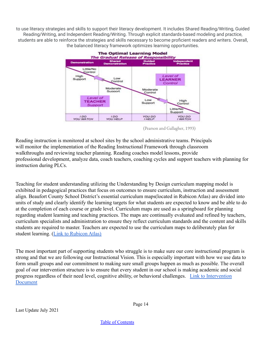to use literacy strategies and skills to support their literacy development. It includes Shared Reading/Writing, Guided Reading/Writing, and Independent Reading/Writing. Through explicit standards-based modeling and practice, students are able to reinforce the strategies and skills necessary to become proficient readers and writers. Overall, the balanced literacy framework optimizes learning opportunities.



(Pearson and Gallagher, 1993)

Reading instruction is monitored at school sites by the school administrative teams. Principals will monitor the implementation of the Reading Instructional Framework through classroom walkthroughs and reviewing teacher planning. Reading coaches model lessons, provide professional development, analyze data, coach teachers, coaching cycles and support teachers with planning for instruction during PLCs.

Teaching for student understanding utilizing the Understanding by Design curriculum mapping model is exhibited in pedagogical practices that focus on outcomes to ensure curriculum, instruction and assessment align. Beaufort County School District's essential curriculum maps(located in Rubicon Atlas) are divided into units of study and clearly identify the learning targets for what students are expected to know and be able to do at the completion of each course or grade level. Curriculum maps are used as a springboard for planning regarding student learning and teaching practices. The maps are continually evaluated and refined by teachers, curriculum specialists and administration to ensure they reflect curriculum standards and the content and skills students are required to master. Teachers are expected to use the curriculum maps to deliberately plan for student learning.([Link to Rubicon Atlas\)](https://beaufort.rubiconatlas.org/)

The most important part of supporting students who struggle is to make sure our core instructional program is strong and that we are following our Instructional Vision. This is especially important with how we use data to form small groups and our commitment to making sure small groups happen as much as possible. The overall goal of our intervention structure is to ensure that every student in our school is making academic and social progress regardless of their need level, cognitive ability, or behavioral challenges. [Link to Intervention](https://drive.google.com/file/d/1sF7n7g5d6i0VQrQEB9LbkmCi2iwkZqZc/view?usp=sharing) [Document](https://drive.google.com/file/d/1sF7n7g5d6i0VQrQEB9LbkmCi2iwkZqZc/view?usp=sharing)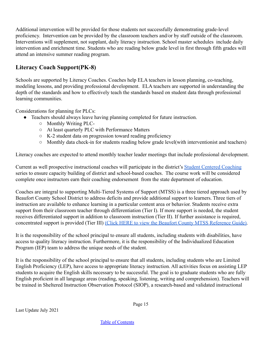Additional intervention will be provided for those students not successfully demonstrating grade-level proficiency. Intervention can be provided by the classroom teachers and/or by staff outside of the classroom. Interventions will supplement, not supplant, daily literacy instruction. School master schedules include daily intervention and enrichment time. Students who are reading below grade level in first through fifth grades will attend an intensive summer reading program.

# **Literacy Coach Support(PK-8)**

Schools are supported by Literacy Coaches. Coaches help ELA teachers in lesson planning, co-teaching, modeling lessons, and providing professional development. ELA teachers are supported in understanding the depth of the standards and how to effectively teach the standards based on student data through professional learning communities.

Considerations for planning for PLCs:

- Teachers should always leave having planning completed for future instruction.
	- Monthly Writing PLC-
	- At least quarterly PLC with Performance Matters
	- K-2 student data on progression toward reading proficiency
	- Monthly data check-in for students reading below grade level(with interventionist and teachers)

Literacy coaches are expected to attend monthly teacher leader meetings that include professional development.

Current as well prospective instructional coaches will participate in the district's [Student Centered Coaching](https://docs.google.com/document/d/1YtOhFN_s3lC96Rbi1Ct24EopexcjMLB5CPv3h7KQcY4/edit?usp=sharing) series to ensure capacity building of district and school-based coaches. The course work will be considered complete once instructors earn their coaching endorsement from the state department of education.

Coaches are integral to supporting Multi-Tiered Systems of Support (MTSS) is a three tiered approach used by Beaufort County School District to address deficits and provide additional support to learners. Three tiers of instruction are available to enhance learning in a particular content area or behavior. Students receive extra support from their classroom teacher through differentiation (Tier I). If more support is needed, the student receives differentiated support in addition to classroom instruction (Tier II). If further assistance is required, concentrated support is provided (Tier III) [\(Click HERE to view the Beaufort County MTSS Reference Guide\).](http://beaufortschools.net/UserFiles/Servers/Server_170841/File/BCS%20District/DEPARTMENTS/Instructional%20Services/Instructional%20Plans/BCSD%20RTI%20Reference%20Guide%20Rev%208-2016.pdf)

It is the responsibility of the school principal to ensure all students, including students with disabilities, have access to quality literacy instruction. Furthermore, it is the responsibility of the Individualized Education Program (IEP) team to address the unique needs of the student.

It is the responsibility of the school principal to ensure that all students, including students who are Limited English Proficiency (LEP), have access to appropriate literacy instruction. All activities focus on assisting LEP students to acquire the English skills necessary to be successful. The goal is to graduate students who are fully English proficient in all language areas (reading, speaking, listening, writing and comprehension). Teachers will be trained in Sheltered Instruction Observation Protocol (SIOP), a research-based and validated instructional

Page 15

Last Update July 2021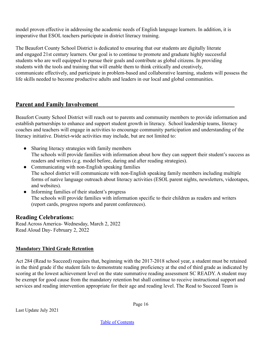model proven effective in addressing the academic needs of English language learners. In addition, it is imperative that ESOL teachers participate in district literacy training.

The Beaufort County School District is dedicated to ensuring that our students are digitally literate and engaged 21st century learners. Our goal is to continue to promote and graduate highly successful students who are well equipped to pursue their goals and contribute as global citizens. In providing students with the tools and training that will enable them to think critically and creatively, communicate effectively, and participate in problem-based and collaborative learning, students will possess the life skills needed to become productive adults and leaders in our local and global communities.

#### <span id="page-15-0"></span>**Parent and Family Involvement**

Beaufort County School District will reach out to parents and community members to provide information and establish partnerships to enhance and support student growth in literacy. School leadership teams, literacy coaches and teachers will engage in activities to encourage community participation and understanding of the literacy initiative. District-wide activities may include, but are not limited to:

- Sharing literacy strategies with family members The schools will provide families with information about how they can support their student's success as readers and writers (e.g. model before, during and after reading strategies).
- Communicating with non-English speaking families The school district will communicate with non-English speaking family members including multiple forms of native language outreach about literacy activities (ESOL parent nights, newsletters, videotapes, and websites).
- Informing families of their student's progress The schools will provide families with information specific to their children as readers and writers (report cards, progress reports and parent conferences).

## **Reading Celebrations:**

Read Across America- Wednesday, March 2, 2022 Read Aloud Day- February 2, 2022

#### **Mandatory Third Grade Retention**

[Act 284 \(Read to Succeed\)](https://ed.sc.gov/scdoe/assets/File/instruction/read-to-succeed/Act284ReadtoSucceedJune112014.pdf) requires that, beginning with the 2017-2018 school year, a student must be retained in the third grade if the student fails to demonstrate reading proficiency at the end of third grade as indicated by scoring at the lowest achievement level on the state summative reading assessment SC READY. A student may be exempt for good cause from the mandatory retention but shall continue to receive instructional support and services and reading intervention appropriate for their age and reading level. The Read to Succeed Team is

Last Update July 2021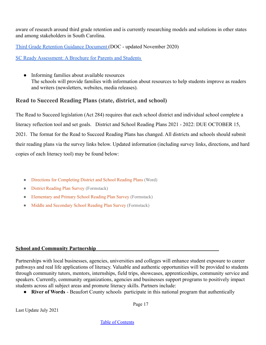aware of research around third grade retention and is currently researching models and solutions in other states and among stakeholders in South Carolina.

[Third Grade Retention Guidance Document](https://ed.sc.gov/instruction/early-learning-and-literacy/read-to-succeed1/third-grade-retention/third-grade-retention-guidance-document1/) (DOC - updated November 2020)

[SC Ready Assessment: A Brochure for Parents and Students](https://ed.sc.gov/tests/tests-files/sc-ready-files/spring-2021-assessment-brochure/)

● Informing families about available resources The schools will provide families with information about resources to help students improve as readers and writers (newsletters, websites, media releases).

# **Read to Succeed Reading Plans (state, district, and school)**

The Read to Succeed legislation (Act 284) requires that each school district and individual school complete a literacy reflection tool and set goals. District and School Reading Plans 2021 - 2022: DUE OCTOBER 15, 2021. The format for the Read to Succeed Reading Plans has changed. All districts and schools should submit their reading plans via the survey links below. Updated information (including survey links, directions, and hard copies of each literacy tool) may be found below:

- [Directions for Completing District and School Reading Plans](https://ed.sc.gov/instruction/early-learning-and-literacy/read-to-succeed1/reading-plans-state-district-and-school/directions-for-completing-2021-22-reading-plans/) (Word)
- [District Reading Plan Survey](https://scde.formstack.com/forms/2021_district_literacy_reflection_tool_updated) (Formstack)
- [Elementary and Primary School Reading Plan Survey](https://scde.formstack.com/forms/2021_primary_elementary_literacy_reflection_tool) (Formstack)
- [Middle and Secondary School Reading Plan Survey](https://scde.formstack.com/forms/2021_middle_secondary_literacy_reflection_tool_updated) (Formstack)

#### <span id="page-16-0"></span>**School and Community Partnership**

Partnerships with local businesses, agencies, universities and colleges will enhance student exposure to career pathways and real life applications of literacy. Valuable and authentic opportunities will be provided to students through community tutors, mentors, internships, field trips, showcases, apprenticeships, community service and speakers. Currently, community organizations, agencies and businesses support programs to positively impact students across all subject areas and promote literacy skills. Partners include:

● **River of Words** - Beaufort County schools participate in this national program that authentically

Last Update July 2021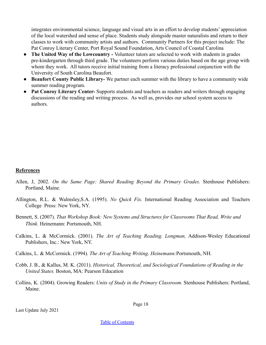integrates environmental science, language and visual arts in an effort to develop students' appreciation of the local watershed and sense of place. Students study alongside master naturalists and return to their classes to work with community artists and authors. Community Partners for this project include: The Pat Conroy Literary Center, Port Royal Sound Foundation, Arts Council of Coastal Carolina

- **The United Way of the Lowcountry -** Volunteer tutors are selected to work with students in grades pre-kindergarten through third grade. The volunteers perform various duties based on the age group with whom they work. All tutors receive initial training from a literacy professional conjunction with the University of South Carolina Beaufort.
- **● Beaufort County Public Library-** We partner each summer with the library to have a community wide summer reading program.
- **● Pat Conroy Literary Center-** Supports students and teachers as readers and writers through engaging discussions of the reading and writing process. As well as, provides our school system access to authors.

#### <span id="page-17-0"></span>**References**

- Allen, J, 2002. *On the Same Page: Shared Reading Beyond the Primary Grades.* Stenhouse Publishers: Portland, Maine.
- Allington, R.L. & Walmsley,S.A. (1995). *No Quick Fix.* International Reading Association and Teachers College Press: New York, NY.
- Bennett, S. (2007). *That Workshop Book: New Systems and Structures for Classrooms That Read, Write and Think.* Heinemann: Portsmouth, NH.
- Calkins, L. & McCormick. (2001). *The Art of Teaching Reading. Longman,* Addison-Wesley Educational Publishers, Inc.: New York, NY.
- Calkins, L. & McCormick. (1994). *The Art of Teaching Writing. Heinemann:*Portsmouth, NH.
- Cobb, J. B., & Kallus, M. K. (2011). *Historical, Theoretical, and Sociological Foundations of Reading in the United States.* Boston, MA: Pearson Education
- Collins, K. (2004). Growing Readers: *Units of Study in the Primary Classroom.* Stenhouse Publishers: Portland, Maine.

Page 18

Last Update July 2021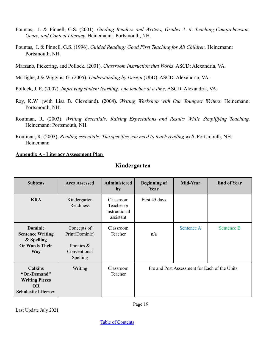- Fountas, I. & Pinnell, G.S. (2001). *Guiding Readers and Writers, Grades 3- 6: Teaching Comprehension, Genre, and Content Literacy.* Heinemann: Portsmouth, NH.
- Fountas, I. & Pinnell, G.S. (1996). *Guided Reading: Good First Teaching for All Children.* Heinemann: Portsmouth, NH.
- Marzano, Pickering, and Pollock. (2001). *Classroom Instruction that Works*. ASCD: Alexandria, VA.
- McTighe, J.& Wiggins, G. (2005). *Understanding by Design* (UbD). ASCD: Alexandria, VA.
- Pollock, J. E. (2007). *Improving student learning: one teacher at a time*. ASCD: Alexandria, VA.
- Ray, K.W. (with Lisa B. Cleveland). (2004). *Writing Workshop with Our Youngest Writers.* Heinemann: Portsmouth, NH.
- Routman, R. (2003). *Writing Essentials: Raising Expectations and Results While Simplifying Teaching*. Heinemann: Portsmouth, NH.
- Routman, R. (2003). *Reading essentials: The specifics you need to teach reading well*. Portsmouth, NH: Heinemann

#### <span id="page-18-0"></span>**Appendix A - Literacy Assessment Plan**

| <b>Subtests</b>                                                                                   | <b>Area Assessed</b>                                                   | <b>Administered</b><br>by                             | <b>Beginning of</b><br>Year | Mid-Year                                      | <b>End of Year</b> |
|---------------------------------------------------------------------------------------------------|------------------------------------------------------------------------|-------------------------------------------------------|-----------------------------|-----------------------------------------------|--------------------|
| <b>KRA</b>                                                                                        | Kindergarten<br>Readiness                                              | Classroom<br>Teacher or<br>instructional<br>assistant | First 45 days               |                                               |                    |
| <b>Dominie</b><br><b>Sentence Writing</b><br>& Spelling<br><b>Or Words Their</b><br><b>Way</b>    | Concepts of<br>Print(Dominie)<br>Phonics &<br>Conventional<br>Spelling | Classroom<br>Teacher                                  | n/a                         | <b>Sentence A</b>                             | <b>Sentence B</b>  |
| <b>Calkins</b><br>"On-Demand"<br><b>Writing Pieces</b><br><b>OR</b><br><b>Scholastic Literacy</b> | Writing                                                                | Classroom<br>Teacher                                  |                             | Pre and Post Assessment for Each of the Units |                    |

Last Update July 2021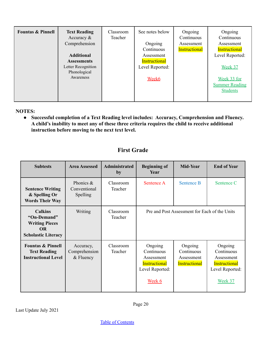**NOTES:**

**● Successful completion of a Text Reading level includes: Accuracy, Comprehension and Fluency. A child's inability to meet any of these three criteria requires the child to receive additional instruction before moving to the next text level.**

# **First Grade**

| <b>Subtests</b>                                                                                   | <b>Area Assessed</b>                      | Administrated<br>by  | <b>Beginning of</b><br>Year                                                              | Mid-Year                                                    | <b>End of Year</b>                                                                 |
|---------------------------------------------------------------------------------------------------|-------------------------------------------|----------------------|------------------------------------------------------------------------------------------|-------------------------------------------------------------|------------------------------------------------------------------------------------|
| <b>Sentence Writing</b><br>& Spelling Or<br><b>Words Their Way</b>                                | Phonics $\&$<br>Conventional<br>Spelling  | Classroom<br>Teacher | Sentence A                                                                               | <b>Sentence B</b>                                           | Sentence C                                                                         |
| <b>Calkins</b><br>"On-Demand"<br><b>Writing Pieces</b><br><b>OR</b><br><b>Scholastic Literacy</b> | Writing                                   | Classroom<br>Teacher |                                                                                          | Pre and Post Assessment for Each of the Units               |                                                                                    |
| <b>Fountas &amp; Pinnell</b><br><b>Text Reading</b><br><b>Instructional Level</b>                 | Accuracy,<br>Comprehension<br>$&$ Fluency | Classroom<br>Teacher | Ongoing<br>Continuous<br>Assessment<br><b>Instructional</b><br>Level Reported:<br>Week 6 | Ongoing<br>Continuous<br>Assessment<br><b>Instructional</b> | Ongoing<br>Continuous<br>Assessment<br>Instructional<br>Level Reported:<br>Week 37 |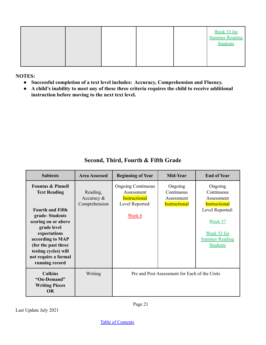|  |  |  | Week 33 for<br><b>Summer Reading</b><br><b>Students</b> |
|--|--|--|---------------------------------------------------------|
|  |  |  |                                                         |

**NOTES:**

п

- **● Successful completion of a text level includes: Accuracy, Comprehension and Fluency.**
- **● A child's inability to meet any of these three criteria requires the child to receive additional instruction before moving to the next text level.**

| <b>Subtests</b>                                                                                                                                                                                                                                                     | <b>Area Assessed</b>                    | <b>Beginning of Year</b>                                                                     | Mid-Year                                                    | <b>End of Year</b>                                                                                                                            |
|---------------------------------------------------------------------------------------------------------------------------------------------------------------------------------------------------------------------------------------------------------------------|-----------------------------------------|----------------------------------------------------------------------------------------------|-------------------------------------------------------------|-----------------------------------------------------------------------------------------------------------------------------------------------|
| <b>Fountas &amp; Pinnell</b><br><b>Text Reading</b><br><b>Fourth and Fifth</b><br>grade-Students<br>scoring on or above<br>grade level<br>expectations<br>according to MAP<br>(for the past three<br>testing cycles) will<br>not require a formal<br>running record | Reading,<br>Accuracy &<br>Comprehension | <b>Ongoing Continuous</b><br>Assessment<br><b>Instructional</b><br>Level Reported:<br>Week 6 | Ongoing<br>Continuous<br>Assessment<br><b>Instructional</b> | Ongoing<br>Continuous<br>Assessment<br>Instructional<br>Level Reported:<br>Week 37<br>Week 33 for<br><b>Summer Reading</b><br><b>Students</b> |
| <b>Calkins</b><br>"On-Demand"<br><b>Writing Pieces</b><br><b>OR</b>                                                                                                                                                                                                 | Writing                                 |                                                                                              | Pre and Post Assessment for Each of the Units               |                                                                                                                                               |

**Second, Third, Fourth & Fifth Grade**

٦

Last Update July 2021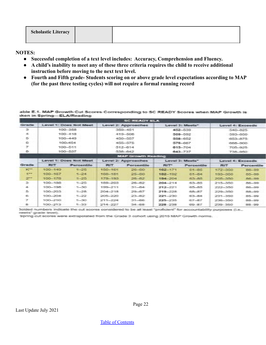| <b>Scholastic Literacy</b> |  |
|----------------------------|--|
|                            |  |

**NOTES:**

- **● Successful completion of a text level includes: Accuracy, Comprehension and Fluency.**
- **● A child's inability to meet any of these three criteria requires the child to receive additional instruction before moving to the next text level.**
- **● Fourth and Fifth grade- Students scoring on or above grade level expectations according to MAP (for the past three testing cycles) will not require a formal running record**

able E.1. MAP Growth Cut Scores Corresponding to SC READY Scores when MAP Growth is sken in Spring-ELA/Reading

|                             |                   |                                                                    |            | <b>SCREADY ELA</b>         |               |                      |                   |                   |  |  |  |
|-----------------------------|-------------------|--------------------------------------------------------------------|------------|----------------------------|---------------|----------------------|-------------------|-------------------|--|--|--|
| Grade                       |                   | Level 1: Does Not Meet<br>Level 2: Approaches<br>E gwel 3: Minets* |            |                            |               |                      |                   | Level 4: Exceeds  |  |  |  |
| 3                           |                   | 100-358                                                            |            | 3559 451                   |               | 452-539              | <b>SAIN SOS</b>   |                   |  |  |  |
| ÷                           |                   | 100-458                                                            |            | 419-508                    |               | <b>START PRODUCT</b> |                   | <b>AND AND</b>    |  |  |  |
| s                           |                   | 1003 4-09                                                          |            | <b>ARTISTS AND ARTISTS</b> |               | 558-652              |                   | <b>CONTRACTOR</b> |  |  |  |
| 6                           |                   | THE R. P. LEWIS                                                    |            | <b>ASSAULTS</b>            |               | 578-867              |                   | <b>GREUGED</b>    |  |  |  |
| $\pi$                       |                   | 100-511                                                            |            | 512-614                    |               | 615 704              | 705-925           |                   |  |  |  |
| 8                           |                   | 1003-5237                                                          |            | 538-642                    |               | 643 737              | <b>F38-958</b>    |                   |  |  |  |
|                             |                   |                                                                    |            | <b>MAP Growth Reading</b>  |               |                      |                   |                   |  |  |  |
|                             |                   | Level 1: Does Not Meet                                             |            | Level 2: Approaches        |               | Level 3: Meets*      | E quel 4: Especia |                   |  |  |  |
| Grade<br>$rac{1}{2}$        | <b>SHOW:</b>      | <b>Percentile</b>                                                  | <b>POT</b> | <b>Percentile</b>          | <b>PELLER</b> | Pernentile           | <b>PEST</b>       | Percentile        |  |  |  |
|                             | 100-149           | $3 - 25$                                                           | 152, 161   | $26 - 50$                  | 162.171       | $85 - 85$            | 172-350           | BE_2G             |  |  |  |
| $+ -$                       | $100 - 157$       | $7 - 24$                                                           | 1998-185   | $25 - 80$                  | 182-192       | <b>GY_RE</b>         | <b>BOOK RESP.</b> | 85-89             |  |  |  |
| $\mathcal{F}^{\bullet}$     | 100-178           | $1 - 25$                                                           | 1.75-153.  | $26 - 52$                  | 194.704       | 63.85                | 205-353           | B6-99             |  |  |  |
| $\mathcal{R}_{\mathcal{C}}$ | 100 188           | $7 - 25$                                                           | 186-203    | 28.57                      | 204 214       | $83 - 85$            | $215 - 350$       | 86.99             |  |  |  |
| a.                          | 1001-1005         | $7 - 30$                                                           | 195-211    | 35.84                      | 212-221       | $85 - 85$            | 222-350           | 86-89             |  |  |  |
| 5                           | <b>SIMUL-2023</b> | $5 - 28$                                                           | 204-218    | $29 - 87$                  | 219-228       | 88.87                | 229-329-          | 88-89             |  |  |  |
| $\epsilon$                  | 3031-7040         | $5 - 22$                                                           | 205-220-   | 23-82                      | 221-230       | 83.84                | 231-350           | 85.99             |  |  |  |
| -27                         | 学部ユーア部ま           | $5 - 30$                                                           | 215-224    | 31-86                      | 225-235       | <b>ST ST</b>         | <b>CONTRACTOR</b> | 88-89             |  |  |  |
| *                           | <b>BOOT STATE</b> | $1 - 33$                                                           | 214 227    | 34.88                      | 228-238       | 89.87                | 239-350           | 38.99             |  |  |  |

Bolded numbers indicate the cut scores considered to be at least "proficient" for accountability purposes (i.e., neets" grade level).

Spring cut scores were extrapolated from the Grade 3 cohort using 2015 MAP Growth norms.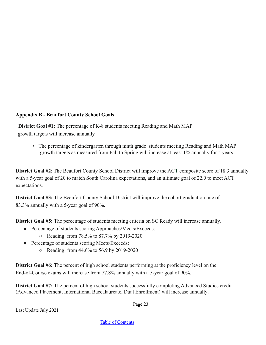#### <span id="page-22-0"></span>**Appendix B - Beaufort County School Goals**

**District Goal #1:** The percentage of K-8 students meeting Reading and Math MAP growth targets will increase annually.

• The percentage of kindergarten through ninth grade students meeting Reading and Math MAP growth targets as measured from Fall to Spring will increase at least 1% annually for 5 years.

**District Goal #2**: The Beaufort County School District will improve the ACT composite score of 18.3 annually with a 5-year goal of 20 to match South Carolina expectations, and an ultimate goal of 22.0 to meet ACT expectations.

**District Goal #3:** The Beaufort County School District will improve the cohort graduation rate of 83.3% annually with a 5-year goal of 90%.

**District Goal #5:** The percentage of students meeting criteria on SC Ready will increase annually.

- Percentage of students scoring Approaches/Meets/Exceeds:
	- Reading: from 78.5% to 87.7% by 2019-2020
- Percentage of students scoring Meets/Exceeds:
	- Reading: from 44.6% to 56.9 by 2019-2020

**District Goal #6:** The percent of high school students performing at the proficiency level on the End-of-Course exams will increase from 77.8% annually with a 5-year goal of 90%.

**District Goal #7:** The percent of high school students successfully completing Advanced Studies credit (Advanced Placement, International Baccalaureate, Dual Enrollment) will increase annually.

Page 23

Last Update July 2021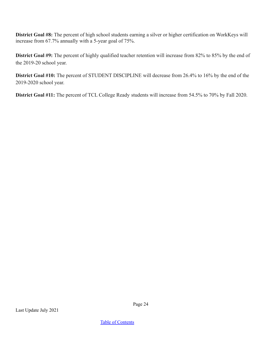**District Goal #8:** The percent of high school students earning a silver or higher certification on WorkKeys will increase from 67.7% annually with a 5-year goal of 75%.

**District Goal #9:** The percent of highly qualified teacher retention will increase from 82% to 85% by the end of the 2019-20 school year.

**District Goal #10:** The percent of STUDENT DISCIPLINE will decrease from 26.4% to 16% by the end of the 2019-2020 school year.

**District Goal #11:** The percent of TCL College Ready students will increase from 54.5% to 70% by Fall 2020.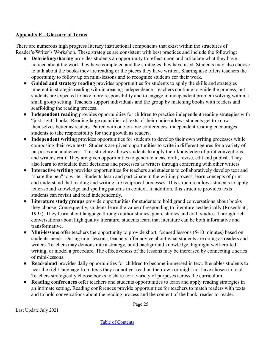#### <span id="page-24-0"></span>**Appendix E - Glossary of Terms**

There are numerous high progress literacy instructional components that exist within the structures of Reader's/Writer's Workshop. These strategies are consistent with best practices and include the following:

- **Debriefing/sharing** provides students an opportunity to reflect upon and articulate what they have noticed about the work they have completed and the strategies they have used. Students may also choose to talk about the books they are reading or the pieces they have written. Sharing also offers teachers the opportunity to follow up on mini-lessons and to recognize students for their work.
- **Guided and strategy reading** provides opportunities for students to apply the skills and strategies inherent in strategic reading with increasing independence. Teachers continue to guide the process, but students are expected to take more responsibility and to engage in independent problem solving within a small group setting. Teachers support individuals and the group by matching books with readers and scaffolding the reading process.
- **Independent reading** provides opportunities for children to practice independent reading strategies with "just right" books. Reading large quantities of texts of their choice allows students get to know themselves better as readers. Paired with one-on-one conferences, independent reading encourages students to take responsibility for their growth as readers.
- **Independent writing** provides opportunities for students to develop their own writing processes while composing their own texts. Students are given opportunities to write in different genres for a variety of purposes and audiences. This structure allows students to apply their knowledge of print conventions and writer's craft. They are given opportunities to generate ideas, draft, revise, edit and publish. They also learn to articulate their decisions and processes as writers through conferring with other writers.
- Interactive writing provides opportunities for teachers and students to collaboratively develop text and "share the pen" to write. Students learn and participate in the writing process, learn concepts of print and understand that reading and writing are reciprocal processes. This structure allows students to apply letter-sound knowledge and spelling patterns in context. In addition, this structure provides texts students can revisit and read independently.
- **Literature study groups** provide opportunities for students to hold grand conversations about books they choose. Consequently, students learn the value of responding to literature aesthetically (Rosenblatt, 1995). They learn about language through author studies, genre studies and craft studies. Through rich conversations about high quality literature, students learn that literature can be both informative and transformative.
- **Mini-lessons** offer teachers the opportunity to provide short, focused lessons (5-10 minutes) based on students' needs. During mini-lessons, teachers offer advice about what students are doing as readers and writers. Teachers may demonstrate a strategy, build background knowledge, highlight well-crafted writing, or model a procedure. The effectiveness of the lessons may be increased by connecting a series of mini-lessons.
- **Read-aloud** provides daily opportunities for children to become immersed in text. It enables students to hear the right language from texts they cannot yet read on their own or might not have chosen to read. Teachers strategically choose books to share for a variety of purposes across the curriculum.
- **Reading conferences** offer teachers and students opportunities to learn and apply reading strategies in an intimate setting. Reading conferences provide opportunities for teachers to match readers with texts and to hold conversations about the reading process and the content of the book, reader-to-reader.

Page 25

Last Update July 2021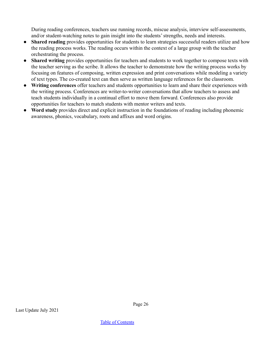During reading conferences, teachers use running records, miscue analysis, interview self-assessments, and/or student-watching notes to gain insight into the students' strengths, needs and interests.

- **Shared reading** provides opportunities for students to learn strategies successful readers utilize and how the reading process works. The reading occurs within the context of a large group with the teacher orchestrating the process.
- **Shared writing** provides opportunities for teachers and students to work together to compose texts with the teacher serving as the scribe. It allows the teacher to demonstrate how the writing process works by focusing on features of composing, written expression and print conversations while modeling a variety of text types. The co-created text can then serve as written language references for the classroom.
- **Writing conferences** offer teachers and students opportunities to learn and share their experiences with the writing process. Conferences are writer-to-writer conversations that allow teachers to assess and teach students individually in a continual effort to move them forward. Conferences also provide opportunities for teachers to match students with mentor writers and texts.
- **Word study** provides direct and explicit instruction in the foundations of reading including phonemic awareness, phonics, vocabulary, roots and affixes and word origins.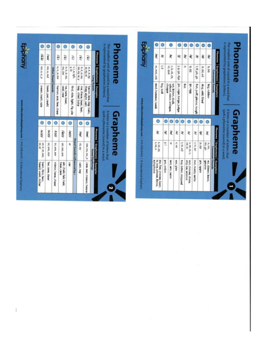| Θ                | Θ            |                           | o                     | ø                                                                           | ٥                           |                                          | ٥                                          | ۰                                             |                        |                                  |                                                                           |                |                                                 | ۰                                                                                                                                                              | ۰                         |            | ۰                                             | ۰                       | ۰                    | ٥                                        | ۰                        | ۰                |                             | ٥             |                                |                                                             |
|------------------|--------------|---------------------------|-----------------------|-----------------------------------------------------------------------------|-----------------------------|------------------------------------------|--------------------------------------------|-----------------------------------------------|------------------------|----------------------------------|---------------------------------------------------------------------------|----------------|-------------------------------------------------|----------------------------------------------------------------------------------------------------------------------------------------------------------------|---------------------------|------------|-----------------------------------------------|-------------------------|----------------------|------------------------------------------|--------------------------|------------------|-----------------------------|---------------|--------------------------------|-------------------------------------------------------------|
| 1661             | <b>Tenal</b> |                           | Val.                  | lel                                                                         | ž                           |                                          | ē                                          | la l                                          |                        |                                  |                                                                           |                | Epiphany                                        | ì                                                                                                                                                              | ₹                         |            | ₹                                             | È                       | ₹                    | ĕ                                        | ¥                        | ē                |                             | ₹             |                                |                                                             |
|                  | DO, U, OU    | <b>Other Vawel Seands</b> | M. U. R. R. EWI       | $\begin{array}{cc} 0, & 0, & 0, \\ 0, & 0, & 0, \\ 0, & 0, & 0 \end{array}$ | <b>Xie Mh</b>               |                                          | e.e.e.e.k                                  | おものが                                          | Long Ve                | Phoneme   Graphemets  Examples   | icpresented by graphemes (letters).                                       | <b>Phoneme</b> |                                                 | m, mm, rob                                                                                                                                                     | ç                         |            | c.k.ck.ch.<br>cc.que                          | J. g. ge, dge           | ×                    | 86 6                                     | E.ff.ph.gh               | d, dd, ed        |                             | b, bb         | Phoseme Craphenels) Example(s) | s represented by graphemes (letters).                       |
| beek, put, could |              |                           | human, was, few, chew | seal, rew<br>no, note, boat.                                                | find, ride, light, fly, pie |                                          | me, there, bear, feet.<br>key, chief, baby | they, eight, vein<br>becon, lete, day, train, |                        |                                  | The smallest unit of sound in a word that                                 |                |                                                 | msd. hammer, lamb                                                                                                                                              | les bell                  | enbaq      | cat, kitten, duck,<br>school, ocour, antique. | jet, cage, barge, judge | ť                    | 66e v.6                                  | fish, puff, phone, tough | dog. add. filled |                             | big, rubber   | onant Sounds                   | he sonaliest unit of sound in a word that                   |
|                  | Θ            | ٥                         |                       | ٥                                                                           | ۰                           |                                          | o                                          | ۰                                             |                        |                                  |                                                                           |                |                                                 | Θ                                                                                                                                                              |                           | ٥          | ۰                                             | $\bullet$               | Θ                    | O                                        | o                        | $\bullet$        | $\bullet$                   |               |                                | product a phone                                             |
| Vo (r)           |              | RthV                      |                       | <b>Talel</b>                                                                | Valey                       |                                          | jikoj                                      | <b>Gows</b>                                   |                        |                                  |                                                                           |                |                                                 | È                                                                                                                                                              |                           | ž          | ξ                                             | ξ                       | ਟੋ                   | È                                        | ₹                        | ই                | ì                           |               |                                |                                                             |
| or, ore, oor     |              | Irr, ere, eer             |                       | air, ear, are                                                               | Ħ,                          | <b>Vount Sounds</b> in                   | ol.oy                                      | GW, Oil, Oil, B                               |                        | Phoneme   Graphemets)   Examples | A fetter or a number of letters that<br>spell a phoneme [scure] in a word | Grapheme       |                                                 | $\begin{array}{cc} \mathbf{L} & \mathbf{R} \mathbf{R} \\ \mathbf{L} & \mathbf{R} \mathbf{R} \end{array} \begin{array}{c} \mathbf{R} \\ \mathbf{L} \end{array}$ |                           | ž          | ž                                             | an's                    | t.tt.ed              | DR, 90<br>5, 98, 55, C,                  | t, m, we                 | ot pp            | in ge                       | Consonant Soa | Phoneme Graphemeis) Example(s) | A letter or a number of letters that<br>packet at the avoid |
| for, core, door  |              | mirror, here, cheer       | <b>Dear, care</b>     | air, chair, fair, hair,                                                     | ę                           | <b><i><u><b>Buenced by r</b></u></i></b> | coln, toy                                  | cow, out, mouse, house                        | <b>Vowel Dipthongs</b> |                                  |                                                                           | N              | hangsom   430-256-5443   C Educational (cipture | is, was, please, Xerox.<br>xylophone                                                                                                                           | alp. fizz, sneeze, laser, | yes, ordon | WEE, WIN, SWIM                                | and Open                | top, letter, stopped | sun, mouse, dress,<br>city, ice, science | Fun, marry, write        | pic, apple       | no, dinner, knee,<br>amonte | 룘             |                                |                                                             |

 $\Box$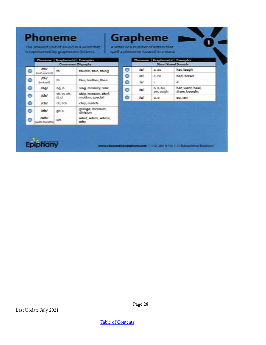# **Phoneme**

**Grapheme** 

The smallest unit of sound in a word that is represented by graphemes (letters).

A letter or a number of letters that spell a phoneme [sound] in a word.

|   |                             | Phoneme Grapheme(s) Examples |                                         |   |      | Phoneme Grapheme(s) Examples |                           |
|---|-----------------------------|------------------------------|-----------------------------------------|---|------|------------------------------|---------------------------|
|   |                             |                              | <b>Consonant Digraphs</b>               |   |      |                              | <b>Short Vowel Sounds</b> |
| ۰ | 恤<br>ingt voiced)           | s.                           | thumb, thin, thing                      | 0 | lar- | 3, 201                       | hat, lawgh                |
|   | <b>Ida</b>                  |                              |                                         | Θ | iei  | <b>E.E3</b>                  | bed. bread                |
| Θ | hoiced.                     | th.                          | this, feather, then                     | ⊜ | w    |                              | ¥.                        |
| θ | ling/                       | ng, n                        | sing, monkey, sink                      | € | loř. | 0.2.30                       | het, want, hael,          |
| θ | ish/                        | $sh.$ 55, $ch.$<br>ti.ci     | ship, mission, chef.<br>motion, special | ٥ | hal  | aw, ough<br>EL 0             | draw, bought<br>60.100    |
| Θ | ids/                        | ch, tch                      | chip, match                             |   |      |                              |                           |
| Θ | <b>Idal</b>                 | DES.                         | garage, measure,<br>division            |   |      |                              |                           |
| 6 | <b>Indu</b><br>with breath) | wh.                          | what, when, where,<br>why.              |   |      |                              |                           |



epiphany.com | 410-258-6443 | C Educational Epiphany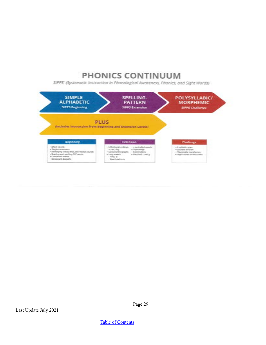# PHONICS CONTINUUM

SIPPS' (Systematic Instruction in Phonological Awareness, Phonics, and Sight Words)



Last Update July 2021

Page 29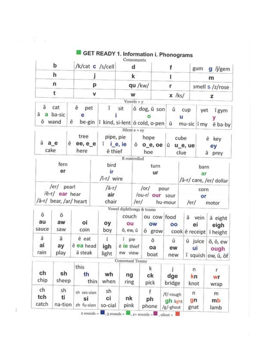|                    | b                            | /k/cat c /s/cell                |      |                          |                             | d                    |                                                               |                                                   |                                    |                 | gum                                                                                                                                         | $g$ /j/gem            |  |  |
|--------------------|------------------------------|---------------------------------|------|--------------------------|-----------------------------|----------------------|---------------------------------------------------------------|---------------------------------------------------|------------------------------------|-----------------|---------------------------------------------------------------------------------------------------------------------------------------------|-----------------------|--|--|
|                    | h                            |                                 |      |                          |                             | k                    |                                                               |                                                   |                                    |                 |                                                                                                                                             |                       |  |  |
|                    | n                            |                                 | p    |                          |                             | qu /kw/              |                                                               |                                                   | r                                  | smell s /z/rose |                                                                                                                                             |                       |  |  |
|                    | t                            |                                 | v    |                          |                             | w                    |                                                               |                                                   | $x$ /ks/                           |                 |                                                                                                                                             |                       |  |  |
|                    |                              |                                 |      |                          |                             | Vowels + $v$         |                                                               |                                                   |                                    |                 |                                                                                                                                             |                       |  |  |
| ă<br>ā a<br>ŏ wand | cat<br>ba-sic                | ě<br>pet<br>e<br>ē<br>be-gin    |      | ĭ                        | sit                         |                      | ŏ dog, ŭ son<br>$\Omega$<br>ī kind, si-lent o cold, o-pen   ū |                                                   | ŭ<br>u                             | cup             |                                                                                                                                             | i gym<br>у<br>e ba-by |  |  |
| ã a_e<br>cake      |                              | tree<br>ē<br>ee, e_e<br>here    |      | $i$ i_e, ie<br>ë thief   | pipe, pie                   | Silent $e + ey$      | hope<br>$0$ $0$ $e$ , $0e$<br>hoe                             |                                                   | cube<br>ŭ u_e, ue<br>clue          |                 | m<br>z<br>yet<br>mu-sic i my<br>barn<br>ar<br>/ā-r/ care, /er/ dollar<br>corn<br>or<br>/er/<br>ā vein<br>ei<br>cook ë receipt i height<br>n | e key<br>ey<br>a prey |  |  |
|                    |                              |                                 |      |                          |                             | R controlled         |                                                               |                                                   |                                    |                 |                                                                                                                                             |                       |  |  |
|                    | fern<br>er                   |                                 |      | bird<br>ir<br>/ī-r/ wire |                             |                      | turn<br>ur                                                    |                                                   |                                    |                 |                                                                                                                                             |                       |  |  |
|                    | /er/ pearl<br>/ē-r/ ear hear | /ā-r/ bear, /ar/ heart          |      | /ā-r/<br>air<br>chair    |                             | $/$ ou-r $/$<br>/er/ | /or/                                                          | pour                                              | our sour<br>hu-mour                |                 |                                                                                                                                             | motor                 |  |  |
|                    |                              |                                 |      |                          | Vowel diphthongs & teams    |                      |                                                               |                                                   |                                    |                 |                                                                                                                                             |                       |  |  |
| ŏ<br>au<br>sauce   | ŏ<br>aw<br>saw               | oi<br>coin                      |      | оу<br>boy                | couch<br>ou<br>ô, ew, ū     |                      | ou cow food<br>ow<br>o grow                                   |                                                   | oo                                 |                 |                                                                                                                                             | ā eight<br>eigh       |  |  |
| ā<br>ai<br>rain    | ā<br>ay<br>play              | è eat<br>ě ea head<br>ā steak   |      | ĩ<br>igh<br>light        | ī.<br>e ie thief<br>ew view | pie                  | õ<br>oa<br>boat                                               |                                                   | ū<br>ew<br>new                     |                 |                                                                                                                                             |                       |  |  |
|                    |                              |                                 |      |                          | <b>Consonant Teams</b>      |                      |                                                               | ū juice õ, õ, ew<br>ui ough<br>ĭ squish ow, ŭ, ŏf |                                    |                 |                                                                                                                                             |                       |  |  |
| ch<br>chip         | sh<br>sheep                  | this<br>th                      | thin | wh<br>when               | ng<br>ring                  |                      | k<br>ck<br>pick                                               |                                                   | j<br>dge<br>bridge                 | kn<br>knot      |                                                                                                                                             | r<br>wr<br>wrap       |  |  |
| ch<br>tch<br>catch | sh<br>ti<br>na-tion          | sh ses-sion<br>si<br>zh fu-sion |      | sh<br>ci<br>so-cial      | nk<br>pink                  |                      | f<br>ph<br>phone                                              |                                                   | /f/-rough<br>gh light<br>/g/-ghost | n<br>gn<br>gnat |                                                                                                                                             | m<br>mb<br>lamb       |  |  |

CET PEADV 4 Info  $\mathcal{L}$ 

s S v

 $\frac{1}{167}$ -gridst<br>2 sounds =  $\frac{1}{167}$ , 3 sounds =  $\frac{1}{167}$ , silent =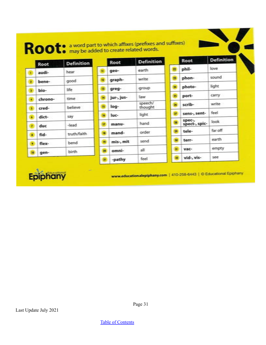| Root                  | <b>Definition</b> |                         | Root       | <b>Definition</b>  |                 | Root                               | <b>Definition</b> |
|-----------------------|-------------------|-------------------------|------------|--------------------|-----------------|------------------------------------|-------------------|
| audi-                 | hear              |                         | geo-       | earth              |                 | phil-                              | love.             |
| $\mathbf{z}$<br>bene- | good              |                         | graph-     | write              | 雪               | phon-                              | sound             |
| bio-<br>31            | life              | H.                      | greg-      | group              | 34              | photo-                             | light             |
| chrono-               | time              | 属                       | jur-, jus- | <b>Eaw</b>         | 15 <sub>1</sub> | port-                              | carry             |
| cred-<br>51           | believe           | 15                      | log-       | speech/<br>thought | ъ               | scrib-                             | write             |
| dict-<br>×            | say               | as.                     | luc-       | light              | $\mathbf{B}$    | sens-, sent-                       | feel              |
| duc<br>x.             | -lead             | Ħ                       | manu-      | hand               | 推               | spec <sub>r</sub><br>spect-, spic- | look              |
| fid-<br>×.            | truth/faith       |                         | mand-      | order              | 霊               | tele-                              | far off           |
|                       | bend              | Ħ                       | mis-, mit  | send               | 30              | terr-                              | earth             |
| flex-<br>٠            | birth             | 潭                       | omni-      | all                | 车               | vac-                               | empty             |
| gen-                  |                   | $\overline{\mathbf{H}}$ | -pathy     | feel               | <b>H</b>        | vid-, vis-                         | see               |



www.educationalepiphany.com | 410-258-6443 | © Educational Epiphany

Page 31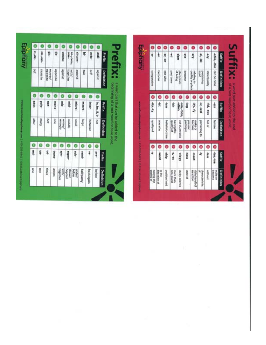| e, ex-                                                          |  |   |                           |                         |        |             |                   |                |                   |               | Θ                   | Θ                      |                          | 0                       | Θ                     | ۰                            | ۰                    | ۰                   | ۰                 |                   |
|-----------------------------------------------------------------|--|---|---------------------------|-------------------------|--------|-------------|-------------------|----------------|-------------------|---------------|---------------------|------------------------|--------------------------|-------------------------|-----------------------|------------------------------|----------------------|---------------------|-------------------|-------------------|
| en-, em-<br>틁                                                   |  | 鲁 | contra-                   | -W00<br>co-, con-,      | draw-  | Ŧ           | -opne             | -pue           | Prefix            | å             | ś                   | 40-38                  | ģ                        | å                       | ģ                     | £10.                         | <b>M-Jai</b>         | k3e-                | able, ible        | Suffix            |
| case to<br>apposite<br><b>PRESIDINAL</b><br>appointe<br>against |  |   |                           | together<br><b>PERM</b> | punoae | OMG         | 盖                 | zauete         | Definition        | comparative   | become              | one who                | past terrie              | place/state<br>of being | ancome                | relating to place            | Buremake             | <b>Kappedayaams</b> | can be done       | <b>Definition</b> |
| Θ                                                               |  |   |                           |                         |        |             |                   |                |                   | Θ             | Θ                   | Θ                      |                          | ٥                       |                       | ۰                            | ۰                    | ۰                   | ۰                 |                   |
| poly-<br>non-<br><b>Mond</b>                                    |  |   | Mis-                      | mid-                    | micro- | macro       | inter             | in, im, il, ir | Prefix            | $A_2 - A_3 +$ | ģ                   | ġ                      | ġ                        | -ion, -tion,<br>-ation  | ģ                     | $44 - 44$                    | $+$ cal              | -ful, -ous          | İ                 | Suffix            |
| Aureu<br>ğ<br><b>SING</b><br>AgEucian<br>middle<br>peurs        |  |   |                           |                         |        | aGuey       | between           | <b>BOT</b>     | <b>Definition</b> | jo Aspetb     | orly sets           | <b>bellet/doctrine</b> | having the               | act of, process         | participle<br>present | make or                      | pertaining to        | <b>Nallod</b>       | <b>Warrant</b>    | <b>Definition</b> |
| Θ                                                               |  |   |                           |                         |        |             |                   |                |                   | Θ             | Θ                   | Θ                      | Θ                        | ۰                       | Θ                     | Θ                            | Θ                    | Θ                   | 0                 |                   |
| Ş<br>旱<br>4Ms<br>andns<br>transi-                               |  |   |                           |                         | sub-   | pami-       | ą                 | aad            | Prefix            | 4             | p.ea.               | 흫                      | $-5$                     | Alliopp-                | 10055                 | ment                         | 4                    | ins                 | -tea, -tse        | Sufflix           |
| <b>DOX</b><br>three<br><b>BROUDER</b>                           |  |   | together<br><b>Pupper</b> | puoling<br>abowe/       | under/ | halt/parthy | <b>buck/again</b> | before         | <b>Definition</b> | having the    | direction of<br>可保存 | position held          | one, plural<br>more than | study, science          | Natio of              | state/vesult of<br>an action | characteristic<br>of | <b>Hitchcoat</b>    | become<br>make or | Definition        |

Last Update July 2021